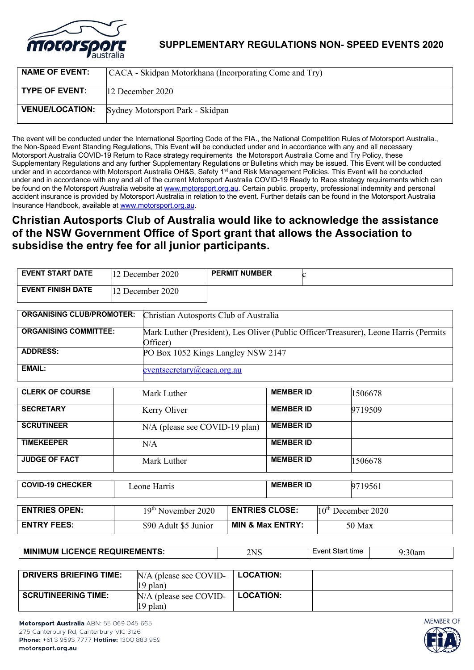

**SUPPLEMENTARY REGULATIONS NON- SPEED EVENTS 2020**

| <b>NAME OF EVENT:</b>  | CACA - Skidpan Motorkhana (Incorporating Come and Try) |
|------------------------|--------------------------------------------------------|
| <b>TYPE OF EVENT:</b>  | $12$ December 2020                                     |
| <b>VENUE/LOCATION:</b> | Sydney Motorsport Park - Skidpan                       |

The event will be conducted under the International Sporting Code of the FIA., the National Competition Rules of Motorsport Australia., the Non-Speed Event Standing Regulations, This Event will be conducted under and in accordance with any and all necessary Motorsport Australia COVID-19 Return to Race strategy requirements the Motorsport Australia Come and Try Policy, these Supplementary Regulations and any further Supplementary Regulations or Bulletins which may be issued. This Event will be conducted under and in accordance with Motorsport Australia OH&S, Safety 1<sup>st</sup> and Risk Management Policies. This Event will be conducted under and in accordance with any and all of the current Motorsport Australia COVID-19 Ready to Race strategy requirements which can be found on the Motorsport Australia website at www.motorsport.org.au. Certain public, property, professional indemnity and personal accident insurance is provided by Motorsport Australia in relation to the event. Further details can be found in the Motorsport Australia Insurance Handbook, available at www.motorsport.org.au.

# **Christian Autosports Club of Australia would like to acknowledge the assistance of the NSW Government Office of Sport grant that allows the Association to subsidise the entry fee for all junior participants.**

| <b>EVENT START DATE</b>          |                                     | 12 December 2020                                                                      | <b>PERMIT NUMBER</b>  |                             |         |                                |  |
|----------------------------------|-------------------------------------|---------------------------------------------------------------------------------------|-----------------------|-----------------------------|---------|--------------------------------|--|
| <b>EVENT FINISH DATE</b>         |                                     | 12 December 2020                                                                      |                       |                             |         |                                |  |
|                                  |                                     |                                                                                       |                       |                             |         |                                |  |
| <b>ORGANISING CLUB/PROMOTER:</b> |                                     | Christian Autosports Club of Australia                                                |                       |                             |         |                                |  |
| <b>ORGANISING COMMITTEE:</b>     |                                     | Mark Luther (President), Les Oliver (Public Officer/Treasurer), Leone Harris (Permits |                       |                             |         |                                |  |
|                                  |                                     | Officer)                                                                              |                       |                             |         |                                |  |
| <b>ADDRESS:</b>                  | PO Box 1052 Kings Langley NSW 2147  |                                                                                       |                       |                             |         |                                |  |
| <b>EMAIL:</b>                    | $e$ ventsecretary $(a)$ caca.org.au |                                                                                       |                       |                             |         |                                |  |
| <b>CLERK OF COURSE</b>           |                                     | Mark Luther                                                                           |                       | <b>MEMBER ID</b>            |         | 1506678                        |  |
| <b>SECRETARY</b>                 |                                     | Kerry Oliver                                                                          | <b>MEMBER ID</b>      |                             | 9719509 |                                |  |
| <b>SCRUTINEER</b>                |                                     | N/A (please see COVID-19 plan)                                                        | <b>MEMBER ID</b>      |                             |         |                                |  |
| <b>TIMEKEEPER</b>                |                                     | N/A                                                                                   | <b>MEMBER ID</b>      |                             |         |                                |  |
| <b>JUDGE OF FACT</b>             |                                     | Mark Luther                                                                           | <b>MEMBER ID</b>      |                             | 1506678 |                                |  |
|                                  |                                     |                                                                                       |                       |                             |         |                                |  |
| <b>COVID-19 CHECKER</b>          |                                     | Leone Harris                                                                          | <b>MEMBER ID</b>      |                             | 9719561 |                                |  |
|                                  |                                     |                                                                                       |                       |                             |         |                                |  |
| <b>ENTRIES OPEN:</b>             |                                     | 19 <sup>th</sup> November 2020                                                        | <b>ENTRIES CLOSE:</b> |                             |         | 10 <sup>th</sup> December 2020 |  |
| <b>ENTRY FEES:</b>               |                                     | \$90 Adult \$5 Junior                                                                 |                       | <b>MIN &amp; Max ENTRY:</b> |         | 50 Max                         |  |
|                                  |                                     |                                                                                       |                       |                             |         |                                |  |

| <b>ICENCE REQUIREMENTS:</b><br><b>NUMIN</b><br><b>MIN</b><br><b>LICENCE</b> | 7NI C<br>--- | time<br><br>.<br>экн | $\sim$<br>0an |
|-----------------------------------------------------------------------------|--------------|----------------------|---------------|
|-----------------------------------------------------------------------------|--------------|----------------------|---------------|

| <b>DRIVERS BRIEFING TIME:</b> | $N/A$ (please see COVID- | <b>LOCATION:</b> |  |
|-------------------------------|--------------------------|------------------|--|
|                               | $19$ plan)               |                  |  |
| <b>SCRUTINEERING TIME:</b>    | $N/A$ (please see COVID- | <b>LOCATION:</b> |  |
|                               | 19 plan)                 |                  |  |

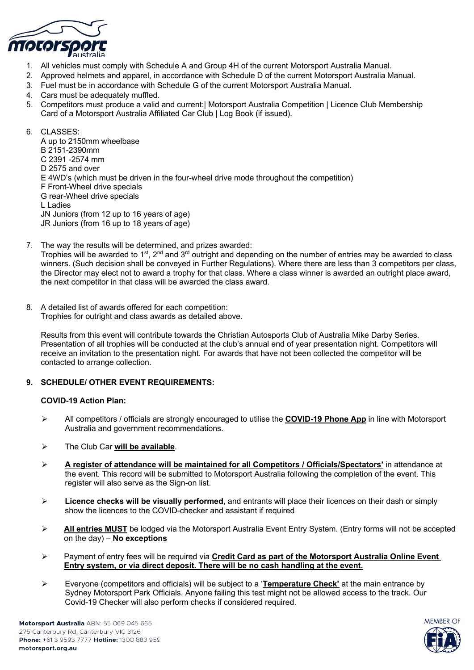

- 1. All vehicles must comply with Schedule A and Group 4H of the current Motorsport Australia Manual.
- 2. Approved helmets and apparel, in accordance with Schedule D of the current Motorsport Australia Manual.
- 3. Fuel must be in accordance with Schedule G of the current Motorsport Australia Manual.
- 4. Cars must be adequately muffled.
- 5. Competitors must produce a valid and current:| Motorsport Australia Competition | Licence Club Membership Card of a Motorsport Australia Affiliated Car Club | Log Book (if issued).

6. CLASSES: A up to 2150mm wheelbase B 2151-2390mm C 2391 -2574 mm D 2575 and over E 4WD's (which must be driven in the four-wheel drive mode throughout the competition) F Front-Wheel drive specials G rear-Wheel drive specials L Ladies JN Juniors (from 12 up to 16 years of age) JR Juniors (from 16 up to 18 years of age)

- 7. The way the results will be determined, and prizes awarded: Trophies will be awarded to 1<sup>st</sup>, 2<sup>nd</sup> and 3<sup>rd</sup> outright and depending on the number of entries may be awarded to class winners. (Such decision shall be conveyed in Further Regulations). Where there are less than 3 competitors per class, the Director may elect not to award a trophy for that class. Where a class winner is awarded an outright place award, the next competitor in that class will be awarded the class award.
- 8. A detailed list of awards offered for each competition: Trophies for outright and class awards as detailed above.

Results from this event will contribute towards the Christian Autosports Club of Australia Mike Darby Series. Presentation of all trophies will be conducted at the club's annual end of year presentation night. Competitors will receive an invitation to the presentation night. For awards that have not been collected the competitor will be contacted to arrange collection.

### **9. SCHEDULE/ OTHER EVENT REQUIREMENTS:**

### **COVID-19 Action Plan:**

- Ø All competitors / officials are strongly encouraged to utilise the **COVID-19 Phone App** in line with Motorsport Australia and government recommendations.
- Ø The Club Car **will be available**.
- Ø **A register of attendance will be maintained for all Competitors / Officials/Spectators'** in attendance at the event. This record will be submitted to Motorsport Australia following the completion of the event. This register will also serve as the Sign-on list.
- Ø **Licence checks will be visually performed**, and entrants will place their licences on their dash or simply show the licences to the COVID-checker and assistant if required
- Ø **All entries MUST** be lodged via the Motorsport Australia Event Entry System. (Entry forms will not be accepted on the day) – **No exceptions**
- Ø Payment of entry fees will be required via **Credit Card as part of the Motorsport Australia Online Event Entry system, or via direct deposit. There will be no cash handling at the event.**
- Ø Everyone (competitors and officials) will be subject to a '**Temperature Check'** at the main entrance by Sydney Motorsport Park Officials. Anyone failing this test might not be allowed access to the track. Our Covid-19 Checker will also perform checks if considered required.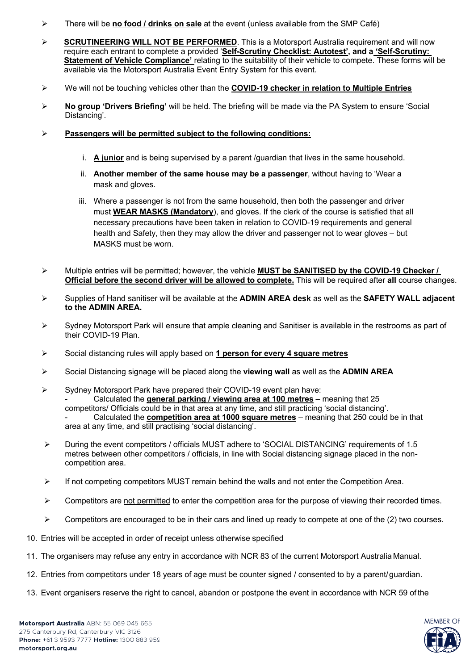- Ø There will be **no food / drinks on sale** at the event (unless available from the SMP Café)
- Ø **SCRUTINEERING WILL NOT BE PERFORMED**. This is a Motorsport Australia requirement and will now require each entrant to complete a provided '**Self-Scrutiny Checklist: Autotest', and a 'Self-Scrutiny: Statement of Vehicle Compliance'** relating to the suitability of their vehicle to compete. These forms will be available via the Motorsport Australia Event Entry System for this event.
- Ø We will not be touching vehicles other than the **COVID-19 checker in relation to Multiple Entries**
- Ø **No group 'Drivers Briefing'** will be held. The briefing will be made via the PA System to ensure 'Social Distancing'.
- Ø **Passengers will be permitted subject to the following conditions:**
	- i. **A junior** and is being supervised by a parent /guardian that lives in the same household.
	- ii. **Another member of the same house may be a passenger**, without having to 'Wear a mask and gloves.
	- iii. Where a passenger is not from the same household, then both the passenger and driver must **WEAR MASKS (Mandatory**), and gloves. If the clerk of the course is satisfied that all necessary precautions have been taken in relation to COVID-19 requirements and general health and Safety, then they may allow the driver and passenger not to wear gloves – but MASKS must be worn.
- Ø Multiple entries will be permitted; however, the vehicle **MUST be SANITISED by the COVID-19 Checker / Official before the second driver will be allowed to complete.** This will be required after **all** course changes.
- Ø Supplies of Hand sanitiser will be available at the **ADMIN AREA desk** as well as the **SAFETY WALL adjacent to the ADMIN AREA.**
- $\triangleright$  Sydney Motorsport Park will ensure that ample cleaning and Sanitiser is available in the restrooms as part of their COVID-19 Plan.
- Ø Social distancing rules will apply based on **1 person for every 4 square metres**
- Ø Social Distancing signage will be placed along the **viewing wall** as well as the **ADMIN AREA**
- $\triangleright$  Sydney Motorsport Park have prepared their COVID-19 event plan have: - Calculated the **general parking / viewing area at 100 metres** – meaning that 25 competitors/ Officials could be in that area at any time, and still practicing 'social distancing'. - Calculated the **competition area at 1000 square metres** – meaning that 250 could be in that area at any time, and still practising 'social distancing'.
- $\triangleright$  During the event competitors / officials MUST adhere to 'SOCIAL DISTANCING' requirements of 1.5 metres between other competitors / officials, in line with Social distancing signage placed in the noncompetition area.
- $\triangleright$  If not competing competitors MUST remain behind the walls and not enter the Competition Area.
- $\triangleright$  Competitors are not permitted to enter the competition area for the purpose of viewing their recorded times.
- $\triangleright$  Competitors are encouraged to be in their cars and lined up ready to compete at one of the (2) two courses.
- 10. Entries will be accepted in order of receipt unless otherwise specified
- 11. The organisers may refuse any entry in accordance with NCR 83 of the current Motorsport Australia Manual.
- 12. Entries from competitors under 18 years of age must be counter signed / consented to by a parent/guardian.
- 13. Event organisers reserve the right to cancel, abandon or postpone the event in accordance with NCR 59 of the